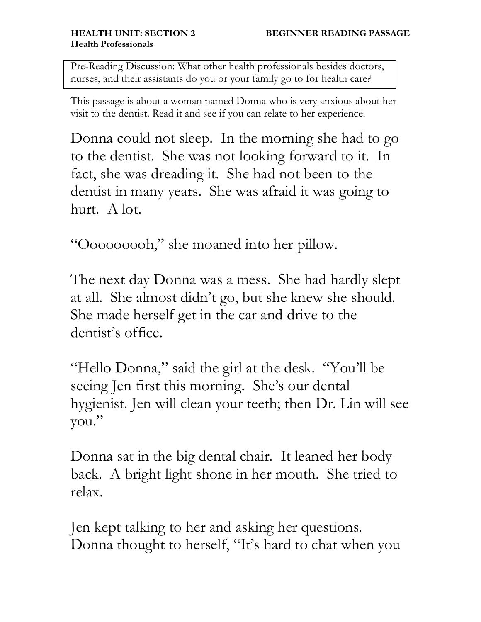Pre-Reading Discussion: What other health professionals besides doctors, nurses, and their assistants do you or your family go to for health care?

This passage is about a woman named Donna who is very anxious about her visit to the dentist. Read it and see if you can relate to her experience.

Donna could not sleep. In the morning she had to go to the dentist. She was not looking forward to it. In fact, she was dreading it. She had not been to the dentist in many years. She was afraid it was going to hurt. A lot.

"Ooooooooh," she moaned into her pillow.

The next day Donna was a mess. She had hardly slept at all. She almost didn't go, but she knew she should. She made herself get in the car and drive to the dentist's office.

"Hello Donna," said the girl at the desk. "You'll be seeing Jen first this morning. She's our dental hygienist. Jen will clean your teeth; then Dr. Lin will see you."

Donna sat in the big dental chair. It leaned her body back. A bright light shone in her mouth. She tried to relax.

Jen kept talking to her and asking her questions. Donna thought to herself, "It's hard to chat when you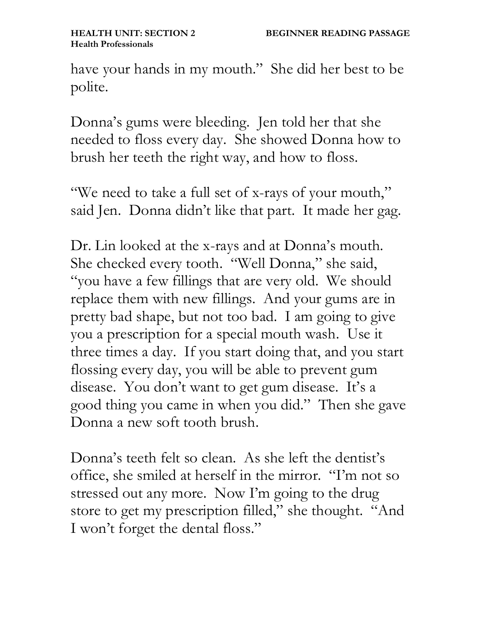have your hands in my mouth." She did her best to be polite.

Donna's gums were bleeding. Jen told her that she needed to floss every day. She showed Donna how to brush her teeth the right way, and how to floss.

"We need to take a full set of x-rays of your mouth," said Jen. Donna didn't like that part. It made her gag.

Dr. Lin looked at the x-rays and at Donna's mouth. She checked every tooth. "Well Donna," she said, "you have a few fillings that are very old. We should replace them with new fillings. And your gums are in pretty bad shape, but not too bad. I am going to give you a prescription for a special mouth wash. Use it three times a day. If you start doing that, and you start flossing every day, you will be able to prevent gum disease. You don't want to get gum disease. It's a good thing you came in when you did." Then she gave Donna a new soft tooth brush.

Donna's teeth felt so clean. As she left the dentist's office, she smiled at herself in the mirror. "I'm not so stressed out any more. Now I'm going to the drug store to get my prescription filled," she thought. "And I won't forget the dental floss."